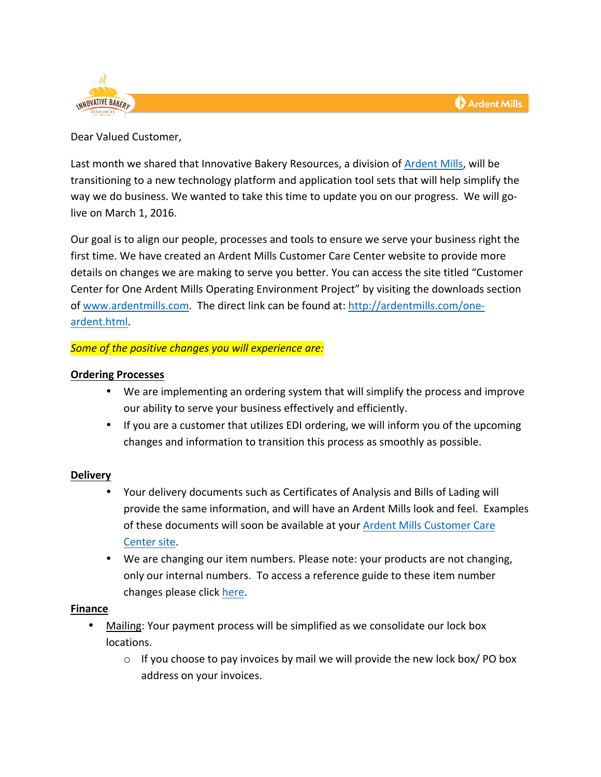

Dear Valued Customer,

Last month we shared that Innovative Bakery Resources, a division of Ardent Mills, will be transitioning to a new technology platform and application tool sets that will help simplify the way we do business. We wanted to take this time to update you on our progress. We will golive on March 1, 2016.

Our goal is to align our people, processes and tools to ensure we serve your business right the first time. We have created an Ardent Mills Customer Care Center website to provide more details on changes we are making to serve you better. You can access the site titled "Customer Center for One Ardent Mills Operating Environment Project" by visiting the downloads section of www.ardentmills.com. The direct link can be found at: http://ardentmills.com/oneardent.html. 

# Some of the positive changes you will experience are:

# **Ordering Processes**

- We are implementing an ordering system that will simplify the process and improve our ability to serve your business effectively and efficiently.
- If you are a customer that utilizes EDI ordering, we will inform you of the upcoming changes and information to transition this process as smoothly as possible.

# **Delivery**

- Your delivery documents such as Certificates of Analysis and Bills of Lading will provide the same information, and will have an Ardent Mills look and feel. Examples of these documents will soon be available at your Ardent Mills Customer Care Center site.
- We are changing our item numbers. Please note: your products are not changing, only our internal numbers. To access a reference guide to these item number changes please click here.

# **Finance**

- Mailing: Your payment process will be simplified as we consolidate our lock box locations.
	- $\circ$  If you choose to pay invoices by mail we will provide the new lock box/ PO box address on your invoices.